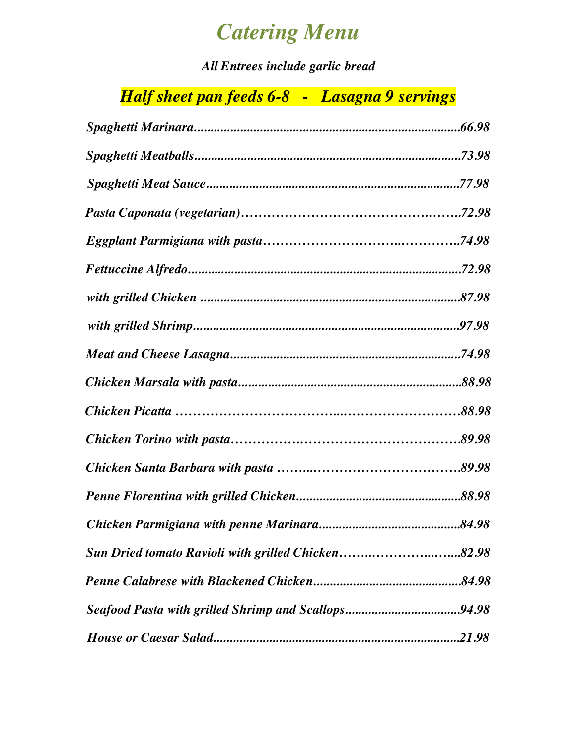# *Catering Menu*

*All Entrees include garlic bread*

## *Half sheet pan feeds 6-8 - Lasagna 9 servings*